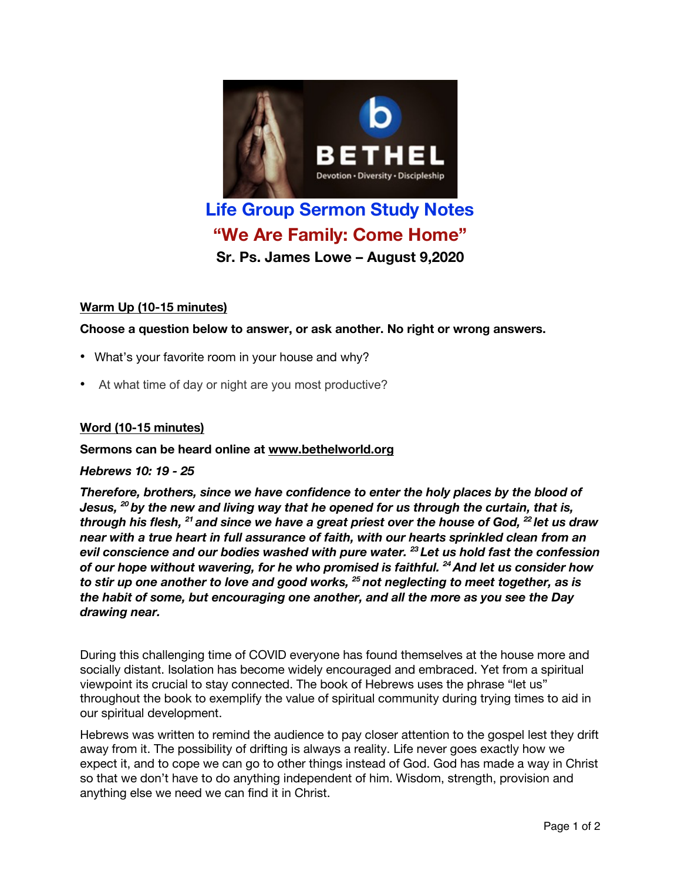

# **"We Are Family: Come Home"**

**Sr. Ps. James Lowe – August 9,2020**

# **Warm Up (10-15 minutes)**

**Choose a question below to answer, or ask another. No right or wrong answers.**

- What's your favorite room in your house and why?
- At what time of day or night are you most productive?

## **Word (10-15 minutes)**

## **Sermons can be heard online at www.bethelworld.org**

#### *Hebrews 10: 19 - 25*

*Therefore, brothers, since we have confidence to enter the holy places by the blood of Jesus, <sup>20</sup> by the new and living way that he opened for us through the curtain, that is,* through his flesh, <sup>21</sup> and since we have a great priest over the house of God, <sup>22</sup> let us draw *near with a true heart in full assurance of faith, with our hearts sprinkled clean from an evil conscience and our bodies washed with pure water. <sup>23</sup> Let us hold fast the confession of our hope without wavering, for he who promised is faithful. 24And let us consider how to stir up one another to love and good works, <sup>25</sup> not neglecting to meet together, as is the habit of some, but encouraging one another, and all the more as you see the Day drawing near.*

During this challenging time of COVID everyone has found themselves at the house more and socially distant. Isolation has become widely encouraged and embraced. Yet from a spiritual viewpoint its crucial to stay connected. The book of Hebrews uses the phrase "let us" throughout the book to exemplify the value of spiritual community during trying times to aid in our spiritual development.

Hebrews was written to remind the audience to pay closer attention to the gospel lest they drift away from it. The possibility of drifting is always a reality. Life never goes exactly how we expect it, and to cope we can go to other things instead of God. God has made a way in Christ so that we don't have to do anything independent of him. Wisdom, strength, provision and anything else we need we can find it in Christ.